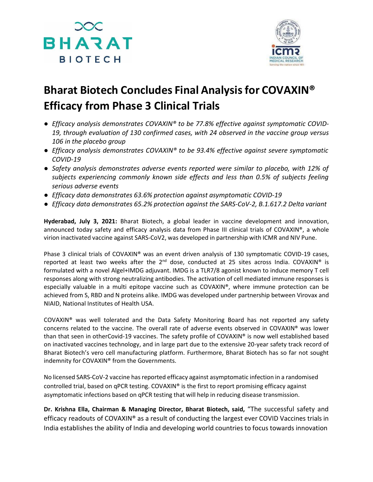



## **Bharat Biotech Concludes Final Analysisfor COVAXIN® Efficacy from Phase 3 Clinical Trials**

- *● Efficacy analysis demonstrates COVAXIN® to be 77.8% effective against symptomatic COVID-19, through evaluation of 130 confirmed cases, with 24 observed in the vaccine group versus 106 in the placebo group*
- *● Efficacy analysis demonstrates COVAXIN® to be 93.4% effective against severe symptomatic COVID-19*
- *● Safety analysis demonstrates adverse events reported were similar to placebo, with 12% of subjects experiencing commonly known side effects and less than 0.5% of subjects feeling serious adverse events*
- *● Efficacy data demonstrates 63.6% protection against asymptomatic COVID-19*
- *● Efficacy data demonstrates 65.2% protection against the SARS-CoV-2, B.1.617.2 Delta variant*

**Hyderabad, July 3, 2021:** Bharat Biotech, a global leader in vaccine development and innovation, announced today safety and efficacy analysis data from Phase III clinical trials of COVAXIN®, a whole virion inactivated vaccine against SARS-CoV2, was developed in partnership with ICMR and NIV Pune.

Phase 3 clinical trials of COVAXIN® was an event driven analysis of 130 symptomatic COVID-19 cases, reported at least two weeks after the  $2^{nd}$  dose, conducted at 25 sites across India. COVAXIN® is formulated with a novel Algel+IMDG adjuvant. IMDG is a TLR7/8 agonist known to induce memory T cell responses along with strong neutralizing antibodies. The activation of cell mediated immune responses is especially valuable in a multi epitope vaccine such as COVAXIN®, where immune protection can be achieved from S, RBD and N proteins alike. IMDG was developed under partnership between Virovax and NIAID, National Institutes of Health USA.

COVAXIN® was well tolerated and the Data Safety Monitoring Board has not reported any safety concerns related to the vaccine. The overall rate of adverse events observed in COVAXIN® was lower than that seen in otherCovid-19 vaccines. The safety profile of COVAXIN® is now well established based on inactivated vaccines technology, and in large part due to the extensive 20-year safety track record of Bharat Biotech's vero cell manufacturing platform. Furthermore, Bharat Biotech has so far not sought indemnity for COVAXIN® from the Governments.

No licensed SARS-CoV-2 vaccine hasreported efficacy against asymptomatic infection in a randomised controlled trial, based on qPCR testing. COVAXIN® is the first to report promising efficacy against asymptomatic infections based on qPCR testing that will help in reducing disease transmission.

**Dr. Krishna Ella, Chairman & Managing Director, Bharat Biotech, said,** "The successful safety and efficacy readouts of COVAXIN® as a result of conducting the largest ever COVID Vaccines trials in India establishes the ability of India and developing world countries to focus towards innovation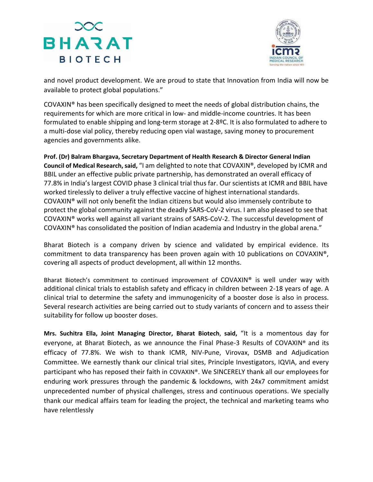## **BHARAT BIOTECH**



and novel product development. We are proud to state that Innovation from India will now be available to protect global populations."

COVAXIN® has been specifically designed to meet the needs of global distribution chains, the requirements for which are more critical in low- and middle-income countries. It has been formulated to enable shipping and long-term storage at 2-8ºC. It is also formulated to adhere to a multi-dose vial policy, thereby reducing open vial wastage, saving money to procurement agencies and governments alike.

**Prof. (Dr) Balram Bhargava, Secretary Department of Health Research & Director General Indian Council of Medical Research, said,** "I am delighted to note that COVAXIN®, developed by ICMR and BBIL under an effective public private partnership, has demonstrated an overall efficacy of 77.8% in India's largest COVID phase 3 clinical trial thus far. Our scientists at ICMR and BBIL have worked tirelessly to deliver a truly effective vaccine of highest international standards. COVAXIN® will not only benefit the Indian citizens but would also immensely contribute to protect the global community against the deadly SARS-CoV-2 virus. I am also pleased to see that COVAXIN® works well against all variant strains of SARS-CoV-2. The successful development of COVAXIN® has consolidated the position of Indian academia and Industry in the global arena."

Bharat Biotech is a company driven by science and validated by empirical evidence. Its commitment to data transparency has been proven again with 10 publications on COVAXIN®, covering all aspects of product development, all within 12 months.

Bharat Biotech's commitment to continued improvement of COVAXIN® is well under way with additional clinical trials to establish safety and efficacy in children between 2-18 years of age. A clinical trial to determine the safety and immunogenicity of a booster dose is also in process. Several research activities are being carried out to study variants of concern and to assess their suitability for follow up booster doses.

**Mrs. Suchitra Ella, Joint Managing Director, Bharat Biotech**, **said,** "It is a momentous day for everyone, at Bharat Biotech, as we announce the Final Phase-3 Results of COVAXIN® and its efficacy of 77.8%. We wish to thank ICMR, NIV-Pune, Virovax, DSMB and Adjudication Committee. We earnestly thank our clinical trial sites, Principle Investigators, IQVIA, and every participant who has reposed their faith in COVAXIN®. We SINCERELY thank all our employees for enduring work pressures through the pandemic & lockdowns, with 24x7 commitment amidst unprecedented number of physical challenges, stress and continuous operations. We specially thank our medical affairs team for leading the project, the technical and marketing teams who have relentlessly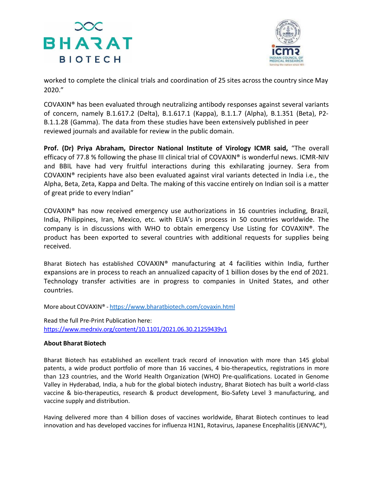



worked to complete the clinical trials and coordination of 25 sites across the country since May 2020."

COVAXIN® has been evaluated through neutralizing antibody responses against several variants of concern, namely B.1.617.2 (Delta), B.1.617.1 (Kappa), B.1.1.7 (Alpha), B.1.351 (Beta), P2- B.1.1.28 (Gamma). The data from these studies have been extensively published in peer reviewed journals and available for review in the public domain.

**Prof. (Dr) Priya Abraham, Director National Institute of Virology ICMR said,** "The overall efficacy of 77.8 % following the phase III clinical trial of COVAXIN® is wonderful news. ICMR-NIV and BBIL have had very fruitful interactions during this exhilarating journey. Sera from COVAXIN® recipients have also been evaluated against viral variants detected in India i.e., the Alpha, Beta, Zeta, Kappa and Delta. The making of this vaccine entirely on Indian soil is a matter of great pride to every Indian"

COVAXIN® has now received emergency use authorizations in 16 countries including, Brazil, India, Philippines, Iran, Mexico, etc. with EUA's in process in 50 countries worldwide. The company is in discussions with WHO to obtain emergency Use Listing for COVAXIN®. The product has been exported to several countries with additional requests for supplies being received.

Bharat Biotech has established COVAXIN® manufacturing at 4 facilities within India, further expansions are in process to reach an annualized capacity of 1 billion doses by the end of 2021. Technology transfer activities are in progress to companies in United States, and other countries.

More about COVAXIN® - <https://www.bharatbiotech.com/covaxin.html>

Read the full Pre-Print Publication here: <https://www.medrxiv.org/content/10.1101/2021.06.30.21259439v1>

## **About Bharat Biotech**

Bharat Biotech has established an excellent track record of innovation with more than 145 global patents, a wide product portfolio of more than 16 vaccines, 4 bio-therapeutics, registrations in more than 123 countries, and the World Health Organization (WHO) Pre-qualifications. Located in Genome Valley in Hyderabad, India, a hub for the global biotech industry, Bharat Biotech has built a world-class vaccine & bio-therapeutics, research & product development, Bio-Safety Level 3 manufacturing, and vaccine supply and distribution.

Having delivered more than 4 billion doses of vaccines worldwide, Bharat Biotech continues to lead innovation and has developed vaccines for influenza H1N1, Rotavirus, Japanese Encephalitis (JENVAC®),